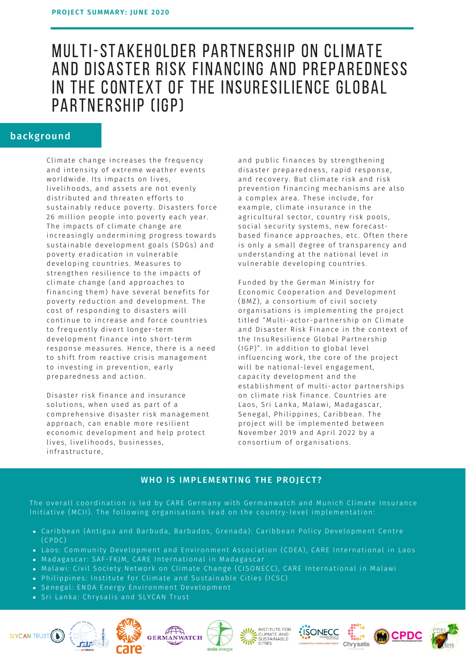# MULTI-STAKEHOLDER PARTNERSHIP ON CLIMATE AND DISASTER RISK FINANCING AND PREPAREDNESS IN THE CONTEXT OF THE INSURESILIENCE GLOBAL PARTNERSHIP (IGP)

## background

Climate change increases the frequency and intensity of extreme weather events worldwide. Its impacts on lives, livelihoods, and assets are not evenly distributed and threaten efforts to sustainably reduce poverty. Disasters force 26 million people into poverty each year. The impacts of climate change are increasingly undermining progress towards sustainable development goals (SDGs) and poverty eradication in vulnerable developing countries. Measures to strengthen resilience to the impacts of climate change (and approaches to financing them) have several benefits for poverty reduction and development. The cost of responding to disasters will continue to increase and force countries to frequently divert longer-term development finance into short-term response measures. Hence, there is a need to shift from reactive crisis management to investing in prevention, early preparedness and action.

Disaster risk finance and insurance solutions, when used as part of a comprehensive disaster risk management approach, can enable more resilient economic development and help protect lives, livelihoods, businesses, infrastructure,

and public finances by strengthening disaster preparedness, rapid response, and recovery. But climate risk and risk prevention financing mechanisms are also a complex area. These include, for example, climate insurance in the agricultural sector, country risk pools, social security systems, new forecastbased finance approaches, etc. Often there is only a small degree of transparency and understanding at the national level in vulnerable developing countries.

Funded by the German Ministry for Economic Cooperation and Development (BMZ), a consortium of civil society organisations is implementing the project titled "Multi-actor-partnership on Climate and Disaster Risk Finance in the context of the InsuResilience Global Partnership (IGP)". In addition to global level influencing work, the core of the project will be national-level engagement, capacity development and the establishment of multi-actor partnerships on climate risk finance. Countries are Laos, Sri Lanka, Malawi, Madagascar, Senegal, Philippines, Caribbean. The project will be implemented between November 2019 and April 2022 by a consortium of organisations.

## WHO IS IMPLEMENTING THE PROJECT?

The overall coordination is led by CARE Germany with Germanwatch and Munich Climate Insurance Initiative (MCII). The following organisations lead on the country-level implementation:

- Caribbean (Antigua and Barbuda, Barbados, Grenada): Caribbean Policy Development Centre  $(CPDC)$
- Laos: Community Development and Environment Association (CDEA), CARE International in Laos
- · Madagascar: SAF-FKJM, CARE International in Madagascar
- . Malawi: Civil Society Network on Climate Change (CISONECC), CARE International in Malawi
- Philippines: Institute for Climate and Sustainable Cities (ICSC)
- · Senegal: ENDA Energy Environment Development
- · Sri Lanka: Chrysalis and SLYCAN Trust